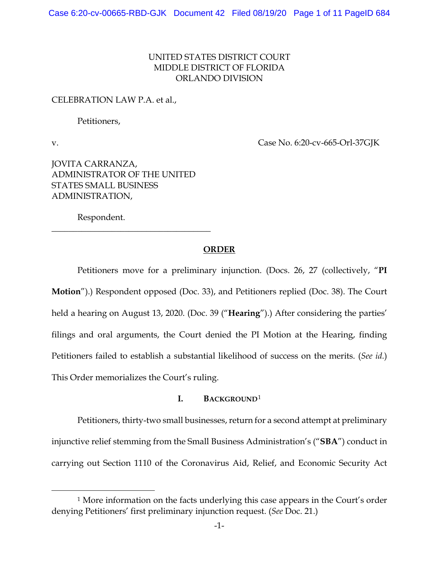# UNITED STATES DISTRICT COURT MIDDLE DISTRICT OF FLORIDA ORLANDO DIVISION

## CELEBRATION LAW P.A. et al.,

Petitioners,

v. Case No. 6:20-cv-665-Orl-37GJK

JOVITA CARRANZA, ADMINISTRATOR OF THE UNITED STATES SMALL BUSINESS ADMINISTRATION,

\_\_\_\_\_\_\_\_\_\_\_\_\_\_\_\_\_\_\_\_\_\_\_\_\_\_\_\_\_\_\_\_\_\_\_\_\_

Respondent.

### **ORDER**

Petitioners move for a preliminary injunction. (Docs. 26, 27 (collectively, "**PI Motion**").) Respondent opposed (Doc. 33), and Petitioners replied (Doc. 38). The Court held a hearing on August 13, 2020. (Doc. 39 ("**Hearing**").) After considering the parties' filings and oral arguments, the Court denied the PI Motion at the Hearing, finding Petitioners failed to establish a substantial likelihood of success on the merits. (*See id.*) This Order memorializes the Court's ruling.

# **I. BACKGROUND**<sup>1</sup>

Petitioners, thirty-two small businesses, return for a second attempt at preliminary injunctive relief stemming from the Small Business Administration's ("**SBA**") conduct in carrying out Section 1110 of the Coronavirus Aid, Relief, and Economic Security Act

<sup>1</sup> More information on the facts underlying this case appears in the Court's order denying Petitioners' first preliminary injunction request. (*See* Doc. 21.)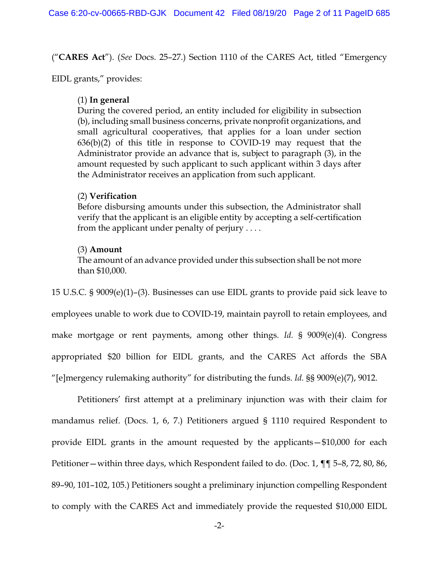("**CARES Act**"). (*See* Docs. 25–27.) Section 1110 of the CARES Act, titled "Emergency

EIDL grants," provides:

# (1) **In general**

During the covered period, an entity included for eligibility in subsection (b), including small business concerns, private nonprofit organizations, and small agricultural cooperatives, that applies for a loan under section  $636(b)(2)$  of this title in response to COVID-19 may request that the Administrator provide an advance that is, subject to paragraph (3), in the amount requested by such applicant to such applicant within 3 days after the Administrator receives an application from such applicant.

# (2) **Verification**

Before disbursing amounts under this subsection, the Administrator shall verify that the applicant is an eligible entity by accepting a self-certification from the applicant under penalty of perjury . . . .

# (3) **Amount**

The amount of an advance provided under this subsection shall be not more than \$10,000.

15 U.S.C. § 9009(e)(1)–(3). Businesses can use EIDL grants to provide paid sick leave to employees unable to work due to COVID-19, maintain payroll to retain employees, and make mortgage or rent payments, among other things. *Id.* § 9009(e)(4). Congress appropriated \$20 billion for EIDL grants, and the CARES Act affords the SBA "[e]mergency rulemaking authority" for distributing the funds. *Id.* §§ 9009(e)(7), 9012.

Petitioners' first attempt at a preliminary injunction was with their claim for mandamus relief. (Docs. 1, 6, 7.) Petitioners argued § 1110 required Respondent to provide EIDL grants in the amount requested by the applicants—\$10,000 for each Petitioner—within three days, which Respondent failed to do. (Doc. 1, ¶¶ 5–8, 72, 80, 86, 89–90, 101–102, 105.) Petitioners sought a preliminary injunction compelling Respondent to comply with the CARES Act and immediately provide the requested \$10,000 EIDL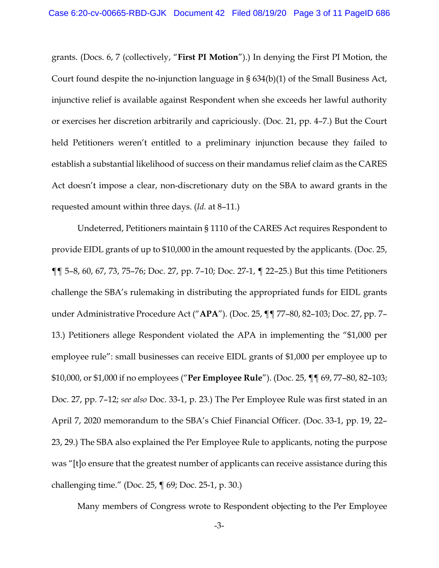grants. (Docs. 6, 7 (collectively, "**First PI Motion**").) In denying the First PI Motion, the Court found despite the no-injunction language in § 634(b)(1) of the Small Business Act, injunctive relief is available against Respondent when she exceeds her lawful authority or exercises her discretion arbitrarily and capriciously. (Doc. 21, pp. 4–7.) But the Court held Petitioners weren't entitled to a preliminary injunction because they failed to establish a substantial likelihood of success on their mandamus relief claim as the CARES Act doesn't impose a clear, non-discretionary duty on the SBA to award grants in the requested amount within three days. (*Id.* at 8–11.)

Undeterred, Petitioners maintain § 1110 of the CARES Act requires Respondent to provide EIDL grants of up to \$10,000 in the amount requested by the applicants. (Doc. 25, ¶¶ 5–8, 60, 67, 73, 75–76; Doc. 27, pp. 7–10; Doc. 27-1, ¶ 22–25.) But this time Petitioners challenge the SBA's rulemaking in distributing the appropriated funds for EIDL grants under Administrative Procedure Act ("**APA**"). (Doc. 25, ¶¶ 77–80, 82–103; Doc. 27, pp. 7– 13.) Petitioners allege Respondent violated the APA in implementing the "\$1,000 per employee rule": small businesses can receive EIDL grants of \$1,000 per employee up to \$10,000, or \$1,000 if no employees ("**Per Employee Rule**"). (Doc. 25, ¶¶ 69, 77–80, 82–103; Doc. 27, pp. 7–12; *see also* Doc. 33-1, p. 23.) The Per Employee Rule was first stated in an April 7, 2020 memorandum to the SBA's Chief Financial Officer. (Doc. 33-1, pp. 19, 22– 23, 29.) The SBA also explained the Per Employee Rule to applicants, noting the purpose was "[t]o ensure that the greatest number of applicants can receive assistance during this challenging time." (Doc. 25, ¶ 69; Doc. 25-1, p. 30.)

Many members of Congress wrote to Respondent objecting to the Per Employee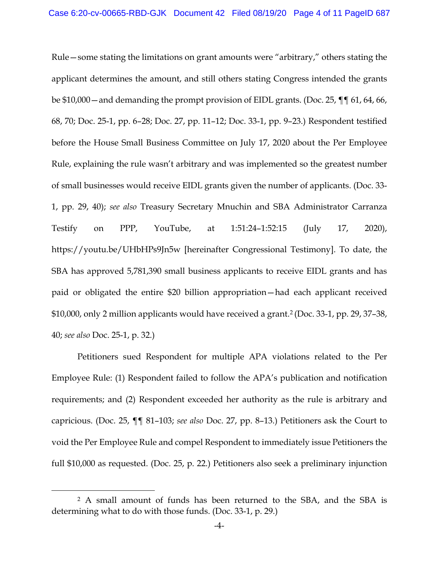Rule—some stating the limitations on grant amounts were "arbitrary," others stating the applicant determines the amount, and still others stating Congress intended the grants be \$10,000—and demanding the prompt provision of EIDL grants. (Doc. 25, ¶¶ 61, 64, 66, 68, 70; Doc. 25-1, pp. 6–28; Doc. 27, pp. 11–12; Doc. 33-1, pp. 9–23.) Respondent testified before the House Small Business Committee on July 17, 2020 about the Per Employee Rule, explaining the rule wasn't arbitrary and was implemented so the greatest number of small businesses would receive EIDL grants given the number of applicants. (Doc. 33- 1, pp. 29, 40); *see also* Treasury Secretary Mnuchin and SBA Administrator Carranza Testify on PPP, YouTube, at 1:51:24–1:52:15 (July 17, 2020), https://youtu.be/UHbHPs9Jn5w [hereinafter Congressional Testimony]. To date, the SBA has approved 5,781,390 small business applicants to receive EIDL grants and has paid or obligated the entire \$20 billion appropriation—had each applicant received \$10,000, only 2 million applicants would have received a grant.2 (Doc. 33-1, pp. 29, 37–38, 40; *see also* Doc. 25-1, p. 32.)

Petitioners sued Respondent for multiple APA violations related to the Per Employee Rule: (1) Respondent failed to follow the APA's publication and notification requirements; and (2) Respondent exceeded her authority as the rule is arbitrary and capricious. (Doc. 25, ¶¶ 81–103; *see also* Doc. 27, pp. 8–13.) Petitioners ask the Court to void the Per Employee Rule and compel Respondent to immediately issue Petitioners the full \$10,000 as requested. (Doc. 25, p. 22.) Petitioners also seek a preliminary injunction

<sup>2</sup> A small amount of funds has been returned to the SBA, and the SBA is determining what to do with those funds. (Doc. 33-1, p. 29.)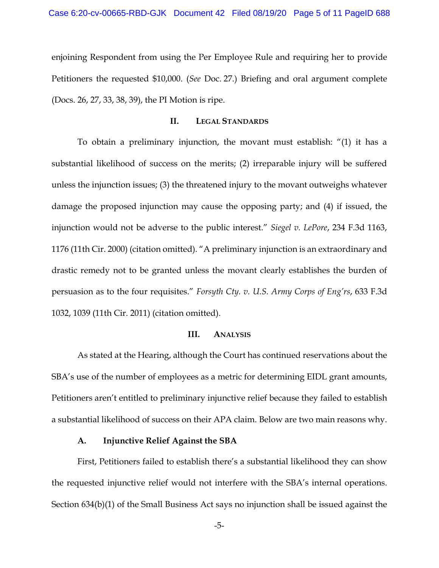enjoining Respondent from using the Per Employee Rule and requiring her to provide Petitioners the requested \$10,000. (*See* Doc. 27.) Briefing and oral argument complete (Docs. 26, 27, 33, 38, 39), the PI Motion is ripe.

### **II. LEGAL STANDARDS**

To obtain a preliminary injunction, the movant must establish: "(1) it has a substantial likelihood of success on the merits; (2) irreparable injury will be suffered unless the injunction issues; (3) the threatened injury to the movant outweighs whatever damage the proposed injunction may cause the opposing party; and (4) if issued, the injunction would not be adverse to the public interest." *Siegel v. LePore*, 234 F.3d 1163, 1176 (11th Cir. 2000) (citation omitted). "A preliminary injunction is an extraordinary and drastic remedy not to be granted unless the movant clearly establishes the burden of persuasion as to the four requisites." *Forsyth Cty. v. U.S. Army Corps of Eng'rs*, 633 F.3d 1032, 1039 (11th Cir. 2011) (citation omitted).

#### **III. ANALYSIS**

As stated at the Hearing, although the Court has continued reservations about the SBA's use of the number of employees as a metric for determining EIDL grant amounts, Petitioners aren't entitled to preliminary injunctive relief because they failed to establish a substantial likelihood of success on their APA claim. Below are two main reasons why.

#### **A. Injunctive Relief Against the SBA**

First, Petitioners failed to establish there's a substantial likelihood they can show the requested injunctive relief would not interfere with the SBA's internal operations. Section 634(b)(1) of the Small Business Act says no injunction shall be issued against the

-5-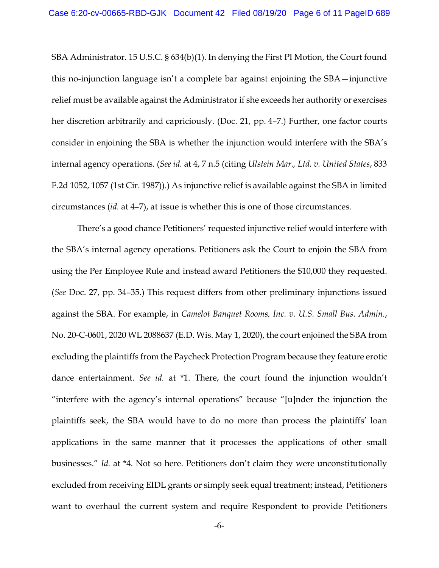SBA Administrator. 15 U.S.C. § 634(b)(1). In denying the First PI Motion, the Court found this no-injunction language isn't a complete bar against enjoining the SBA—injunctive relief must be available against the Administrator if she exceeds her authority or exercises her discretion arbitrarily and capriciously. (Doc. 21, pp. 4–7.) Further, one factor courts consider in enjoining the SBA is whether the injunction would interfere with the SBA's internal agency operations. (*See id.* at 4, 7 n.5 (citing *Ulstein Mar., Ltd. v. United States*, 833 F.2d 1052, 1057 (1st Cir. 1987)).) As injunctive relief is available against the SBA in limited circumstances (*id.* at 4–7), at issue is whether this is one of those circumstances.

There's a good chance Petitioners' requested injunctive relief would interfere with the SBA's internal agency operations. Petitioners ask the Court to enjoin the SBA from using the Per Employee Rule and instead award Petitioners the \$10,000 they requested. (*See* Doc. 27, pp. 34–35.) This request differs from other preliminary injunctions issued against the SBA. For example, in *Camelot Banquet Rooms, Inc. v. U.S. Small Bus. Admin.*, No. 20-C-0601, 2020 WL 2088637 (E.D. Wis. May 1, 2020), the court enjoined the SBA from excluding the plaintiffs from the Paycheck Protection Program because they feature erotic dance entertainment. *See id.* at \*1. There, the court found the injunction wouldn't "interfere with the agency's internal operations" because "[u]nder the injunction the plaintiffs seek, the SBA would have to do no more than process the plaintiffs' loan applications in the same manner that it processes the applications of other small businesses." *Id.* at \*4. Not so here. Petitioners don't claim they were unconstitutionally excluded from receiving EIDL grants or simply seek equal treatment; instead, Petitioners want to overhaul the current system and require Respondent to provide Petitioners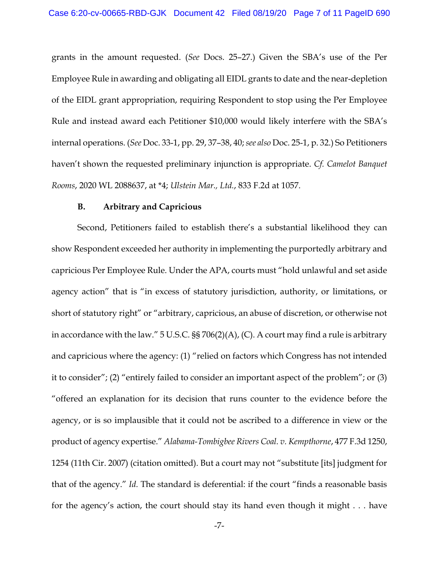grants in the amount requested. (*See* Docs. 25–27.) Given the SBA's use of the Per Employee Rule in awarding and obligating all EIDL grants to date and the near-depletion of the EIDL grant appropriation, requiring Respondent to stop using the Per Employee Rule and instead award each Petitioner \$10,000 would likely interfere with the SBA's internal operations. (*See* Doc. 33-1, pp. 29, 37–38, 40; *see also* Doc. 25-1, p. 32.) So Petitioners haven't shown the requested preliminary injunction is appropriate. *Cf. Camelot Banquet Rooms*, 2020 WL 2088637, at \*4; *Ulstein Mar., Ltd.*, 833 F.2d at 1057.

#### **B. Arbitrary and Capricious**

Second, Petitioners failed to establish there's a substantial likelihood they can show Respondent exceeded her authority in implementing the purportedly arbitrary and capricious Per Employee Rule. Under the APA, courts must "hold unlawful and set aside agency action" that is "in excess of statutory jurisdiction, authority, or limitations, or short of statutory right" or "arbitrary, capricious, an abuse of discretion, or otherwise not in accordance with the law." 5 U.S.C. §§ 706(2)(A), (C). A court may find a rule is arbitrary and capricious where the agency: (1) "relied on factors which Congress has not intended it to consider"; (2) "entirely failed to consider an important aspect of the problem"; or (3) "offered an explanation for its decision that runs counter to the evidence before the agency, or is so implausible that it could not be ascribed to a difference in view or the product of agency expertise." *Alabama-Tombigbee Rivers Coal. v. Kempthorne*, 477 F.3d 1250, 1254 (11th Cir. 2007) (citation omitted). But a court may not "substitute [its] judgment for that of the agency." *Id.* The standard is deferential: if the court "finds a reasonable basis for the agency's action, the court should stay its hand even though it might . . . have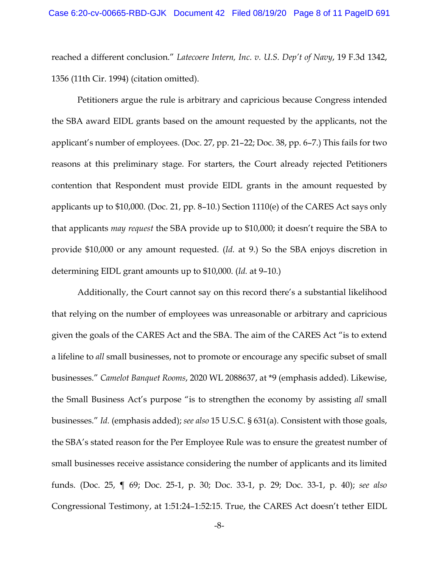reached a different conclusion." *Latecoere Intern, Inc. v. U.S. Dep't of Navy*, 19 F.3d 1342, 1356 (11th Cir. 1994) (citation omitted).

Petitioners argue the rule is arbitrary and capricious because Congress intended the SBA award EIDL grants based on the amount requested by the applicants, not the applicant's number of employees. (Doc. 27, pp. 21–22; Doc. 38, pp. 6–7.) This fails for two reasons at this preliminary stage. For starters, the Court already rejected Petitioners contention that Respondent must provide EIDL grants in the amount requested by applicants up to \$10,000. (Doc. 21, pp. 8–10.) Section 1110(e) of the CARES Act says only that applicants *may request* the SBA provide up to \$10,000; it doesn't require the SBA to provide \$10,000 or any amount requested. (*Id.* at 9.) So the SBA enjoys discretion in determining EIDL grant amounts up to \$10,000. (*Id.* at 9–10.)

Additionally, the Court cannot say on this record there's a substantial likelihood that relying on the number of employees was unreasonable or arbitrary and capricious given the goals of the CARES Act and the SBA. The aim of the CARES Act "is to extend a lifeline to *all* small businesses, not to promote or encourage any specific subset of small businesses." *Camelot Banquet Rooms*, 2020 WL 2088637, at \*9 (emphasis added). Likewise, the Small Business Act's purpose "is to strengthen the economy by assisting *all* small businesses." *Id.* (emphasis added); *see also* 15 U.S.C. § 631(a). Consistent with those goals, the SBA's stated reason for the Per Employee Rule was to ensure the greatest number of small businesses receive assistance considering the number of applicants and its limited funds. (Doc. 25, ¶ 69; Doc. 25-1, p. 30; Doc. 33-1, p. 29; Doc. 33-1, p. 40); *see also*  Congressional Testimony, at 1:51:24–1:52:15. True, the CARES Act doesn't tether EIDL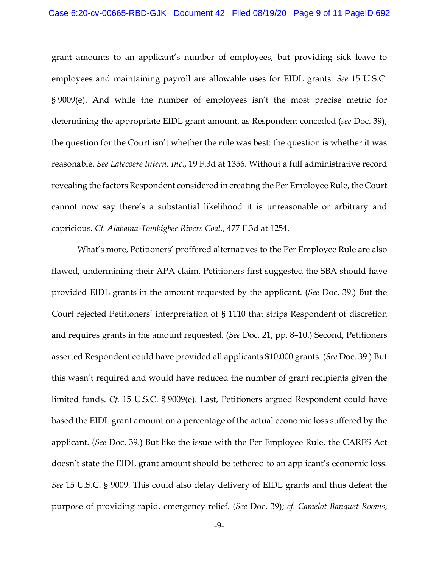grant amounts to an applicant's number of employees, but providing sick leave to employees and maintaining payroll are allowable uses for EIDL grants. *See* 15 U.S.C. § 9009(e). And while the number of employees isn't the most precise metric for determining the appropriate EIDL grant amount, as Respondent conceded (*see* Doc. 39), the question for the Court isn't whether the rule was best: the question is whether it was reasonable. *See Latecoere Intern, Inc.*, 19 F.3d at 1356. Without a full administrative record revealing the factors Respondent considered in creating the Per Employee Rule, the Court cannot now say there's a substantial likelihood it is unreasonable or arbitrary and capricious. *Cf. Alabama-Tombigbee Rivers Coal.*, 477 F.3d at 1254.

What's more, Petitioners' proffered alternatives to the Per Employee Rule are also flawed, undermining their APA claim. Petitioners first suggested the SBA should have provided EIDL grants in the amount requested by the applicant. (*See* Doc. 39.) But the Court rejected Petitioners' interpretation of § 1110 that strips Respondent of discretion and requires grants in the amount requested. (*See* Doc. 21, pp. 8–10.) Second, Petitioners asserted Respondent could have provided all applicants \$10,000 grants. (*See* Doc. 39.) But this wasn't required and would have reduced the number of grant recipients given the limited funds. *Cf.* 15 U.S.C. § 9009(e). Last, Petitioners argued Respondent could have based the EIDL grant amount on a percentage of the actual economic loss suffered by the applicant. (*See* Doc. 39.) But like the issue with the Per Employee Rule, the CARES Act doesn't state the EIDL grant amount should be tethered to an applicant's economic loss. *See* 15 U.S.C. § 9009. This could also delay delivery of EIDL grants and thus defeat the purpose of providing rapid, emergency relief. (*See* Doc. 39); *cf. Camelot Banquet Rooms*,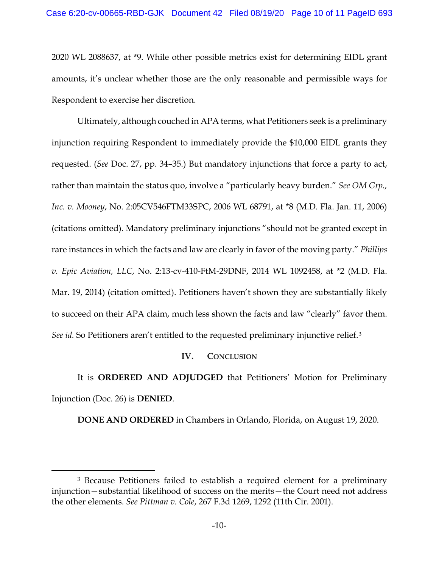2020 WL 2088637, at \*9. While other possible metrics exist for determining EIDL grant amounts, it's unclear whether those are the only reasonable and permissible ways for Respondent to exercise her discretion.

Ultimately, although couched in APA terms, what Petitioners seek is a preliminary injunction requiring Respondent to immediately provide the \$10,000 EIDL grants they requested. (*See* Doc. 27, pp. 34–35.) But mandatory injunctions that force a party to act, rather than maintain the status quo, involve a "particularly heavy burden." *See OM Grp., Inc. v. Mooney*, No. 2:05CV546FTM33SPC, 2006 WL 68791, at \*8 (M.D. Fla. Jan. 11, 2006) (citations omitted). Mandatory preliminary injunctions "should not be granted except in rare instances in which the facts and law are clearly in favor of the moving party." *Phillips v. Epic Aviation, LLC*, No. 2:13-cv-410-FtM-29DNF, 2014 WL 1092458, at \*2 (M.D. Fla. Mar. 19, 2014) (citation omitted). Petitioners haven't shown they are substantially likely to succeed on their APA claim, much less shown the facts and law "clearly" favor them. *See id.* So Petitioners aren't entitled to the requested preliminary injunctive relief.3

## **IV. CONCLUSION**

It is **ORDERED AND ADJUDGED** that Petitioners' Motion for Preliminary Injunction (Doc. 26) is **DENIED**.

**DONE AND ORDERED** in Chambers in Orlando, Florida, on August 19, 2020.

<sup>3</sup> Because Petitioners failed to establish a required element for a preliminary injunction—substantial likelihood of success on the merits—the Court need not address the other elements. *See Pittman v. Cole*, 267 F.3d 1269, 1292 (11th Cir. 2001).